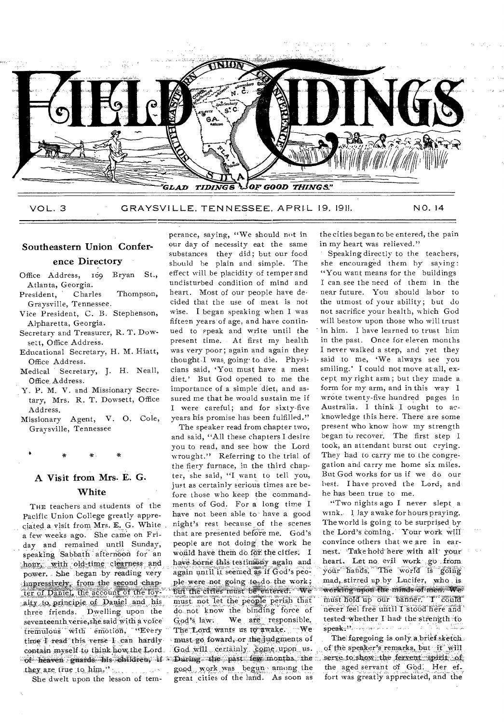

VOL. 3 GRAYSVILLE, TENNESSEE, APRIL 19, 1911. NO. 14

# Southeastern Union Confer-

## ence Directory

- Bryan St., Office Address, 169 Atlanta, Georgia.
- Thompson, President, Charles Graysville, Tennessee.
- Vice President, C. B. Stephenson, Alpharetta, Georgia.
- Secretary and Treasurer, R. T. Dowsett, Office Address.
- Educational Secretary, H. M. Hiatt, Office Address.
- Medical Secretary, J. H. Neall, Office Address.
- Y. P. M. V. and Missionary Secretary, Mrs. R. T. Dowsett, Office Address.
- Missionary Agent, V. O. Cole, Graysville, Tennessee

# A Visit from Mrs. E. G. White

THE teachers and students of the Pacific Union College greatly appreciated a visit from Mrs. E. G. White. a few weeks ago. She came on Friday and remained until Sunday, speaking Sabbath afternoon for an hour with old-time clearness and power. She began by reading very impressively, from the second chapter of Daniel, the account of the loyalty to principle of Daniel and his three friends. Dwelling upon the seventeenth verse, she said with a voice tremulous with emotion, "Every time I read this verse I can hardly contain myself to think how the Lord of heaven guards his children, if a they are true to him."

She dwelt upon the lesson of tem-

perance, saying, "We should not in our day of necessity eat the same substances they did; but our food should be plain and simple. The effect will be placidity of temper and undisturbed condition of mind and heart. Most of our people have decided that the use of meat is not wise. I began speaking when I was fifteen years of age, and have continued to speak and write until the present time. At first my health was very poor; again and again they thought I was going to die. Physicians said, 'You must have a meat diet.' But God opened to me the importance of a simple diet, and assured me that he would sustain me if I were careful; and for sixty-five vears his promise has been fulfilled."

The speaker read from chapter two, and said, "All these chapters I desire you to read, and see how the Lord wrought." Referring to the trial of the fiery furnace, in the third chapter, she said, "I want to tell you, just as certainly serious times are before those who keep the commandments of God. For a long time I have not been able to have a good night's rest because of the scenes that are presented before me. God's people are not doing the work he would have them do for the cities. I have borne this testimony again and again until it seemed as if God's people were not going to do the work; but the cities must be entered. We must not let the people perish that do not know the binding force of We are responsible, God's law. The Lord wants as to awake. We must go foward, or the judgments of God will certainly come upon us. During the past few months the good work was begun among the great cities of the land. As soon as

the cities began to be entered, the pain in my heart was relieved."

Speaking directly to the teachers, she encouraged them by saving: "You want means for the buildings I can see the need of them in the near future. You should labor to the utmost of your ability; but do not sacrifice your health, which God will bestow upon those who will trust in him. I have learned to trust him in the past. Once for eleven months I never walked a step, and yet they said to me, 'We always see vou smiling.' I could not move at all, except my right arm; but they made a form for my arm, and in this way I wrote twenty-five hundred pages in Australia. I think I ought to acknowledge this here. There are some present who know how my strength began to recover. The first step I took, an attendant burst out crying. They had to carry me to the congregation and carry me home six miles. But God works for us if we do our best. I have proved the Lord, and he has been true to me.

"Two nights ago I never slept a wink. I lay awake for hours praving. The world is going to be surprised by the Lord's coming. Your work will convince others that we are in earnest. Take hold here with all your heart. Let no evil work go from your hands. The world is going mad, stirred up by Lucifer, who is working upon the minds of men. We must hold up our banner. I could never feel free until I stood here and tested whether I had the strength to  $\frac{1}{2}$ 

The foregoing is only a brief sketch. of the speaker's remarks, but it will serve to show the fervent spirit of the aged servant of God. Her effort was greatly appreciated, and the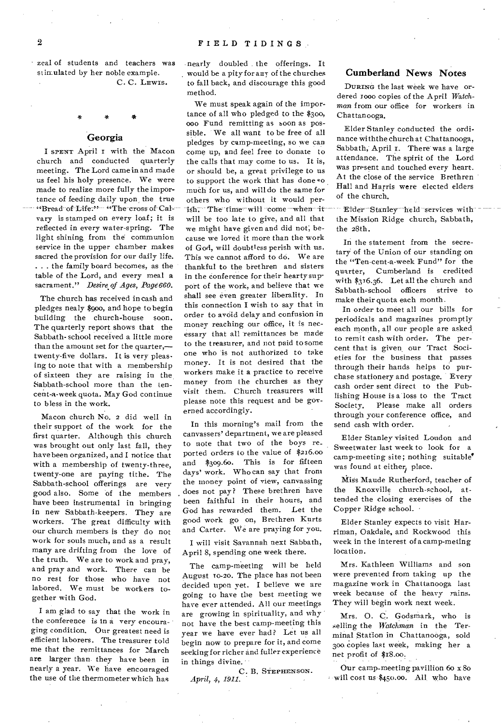zeal of students and teachers was stimulated by her noble example. C. C. LEWIS.

### Georgia

I SPENT April I with the Macon<br>hurch and conducted quarterly church and conducted meeting. The Lord came in and made us feel his holy presence. We were made to realize more fully the importance of feeding daily upon the true "Bread of Life." "The cross of Calvary is stamped on every loaf; it is reflected in every water-spring. The light shining from the communion service in the upper chamber makes sacred the provision for our daily life. . . . the family board becomes, as the table of the Lord, and every meal a sacrament." *Desire of Ages, Page660.* 

The church has received in cash and pledges nealy \$9oo, and hope to begin building the church-house soon. The quarterly report shows that the Sabbath- school received a little more than the amount set for the quarter, twenty-five dollars. It is very pleasing to note that with a membership of sixteen they are raising in the. Sabbath-school more than the tencent-a-week quota. May God continue to bless in the work.

Macon church No. 2 did well in their support of the work for the first quarter. Although this church was brought out only last fall, they have been organized, and I notice that with a membership of twenty-three, twenty-one are paying tithe. The Sabbath-school offerings are very good also. Some of the members have been instrumental in bringing in new Sabbath-keepers. They are workers. The great difficulty with our church members is they do not work for souls much, and as a result many are drifting from the love of the truth. We are to work and pray, and pray and work. There can be no rest for those who have not labored. We must be workers together with God.

I am glad to say that the work in the conference is In a very encouraging condition. Our greatest need is efficient laborers. The treasurer told me that the remittances for March are larger than they have been in nearly a year. We have encouraged the use of the thermometer which has

nearly doubled the offerings. It . would be a pity for any of the churches to fall back, and discourage this good method.

We must speak again of the importance of all who pledged to the  $$300$ , 000 Fund remitting as soon as possible. We all want to be free of all pledges by camp-meeting, so we can come up, and feel free to donate to the calls that may come to us. It is, or should be, a great privilege to us to support the work that has done much for us, and will do the same for others who without it would perish. The time will come when it will be too late to give, and all that we might have given and did not; because we loved it more than the work of God, will doubtless perish with us. This we cannot afford to do. We are thankful to the brethren and sisters in the conference for their hearty support of the work, and believe that we shall see even greater liberality. In this connection I wish to say that in order to avoid delay and confusion in money reaching our office, it is necessary that all remittances be made to the treasurer, and not paid to some one who 'is not authorized to take money. It is not desired that the workers make it a practice to receive money from the churches as they visit them. Church treasurers will please note this request and be governed accordingly.

In this morning's mail from the canvassers' department, we are pleased to note that two of the boys re\_ ported orders to the value of \$216.00 and \$309.60. This is for fifteen days' work. Who can say that from the money point of view, canvassing does not pay? These brethren have been faithful in their hours, and God has rewarded them. Let the good work go on, Brethren Kurts and Carter. We are praying for you.

I will visit Savannah next Sabbath, April 8, spending one week there.

The camp-meeting will be held August 10-20. The place has not been decided upon yet. I believe we are going to have the best meeting we have ever attended. All our meetings are growing in spirituality, and why not have the best camp-meeting this year we have ever had? Let us all begin now to prepare for it, and come seeking for richer and fuller experience in things divine.

C. B. STEPHENSON. *April, 4, 1911.* 

## Cumberland News Notes

DURING the last week we have ordered I000 copies of the April *Watchman* from our office for workers in Chattanooga.

Elder Stanley conducted the ordinance withthe church at Chattanooga, Sabbath, April 1. There was a large attendance. The spirit of the Lord was present and touched every heart. At the close of the service Brethren Hall and Harris were elected elders of the church.

Elder Stanley held services with the Mission Ridge church, Sabbath, the 28th.

In the statement from the secretary of the Union of our standing on the "Ten-cent-a-week Fund" for the quarter, Cumberland is credited with \$316.36. Let all the church and Sabbath-school officers strive to make their quota each month.

In order to meet all our bills for periodicals and magazines promptly each month, all our people are asked to remit cash with order. The percent that is given, our Tract Societies for the business that passes through their hands helps to purchase stationery and postage. Every cash order sent direct to the Publishing House is a loss to the Tract Society. Please make all orders through your conference office, and send cash with order.

Elder Stanley visited London and Sweetwater last week to look for a camp-meeting site; nothing suitable' was found at either, place.

Miss Maude Rutherford, teacher of the Knoxville church-school, attended the closing exercises of the Copper Ridge school.

Elder Stanley expects to visit Harriman, Oakdale, and Rockwood this week in the interest of a camp-meting location.

Mrs. Kathleen Williams and son were prevented from taking up the magazine work in Chattanooga last week because of the heavy rains. They will begin work next week.

Mrs. 0. C. Godsmark, who is selling the *Watchman* in the Terminal Station in Chattanooga, sold 300. copies last week, making her a net profit of \$18.00.

Our camp-meeting pavillion 6o x 8o will cost US \$450.00. All, who have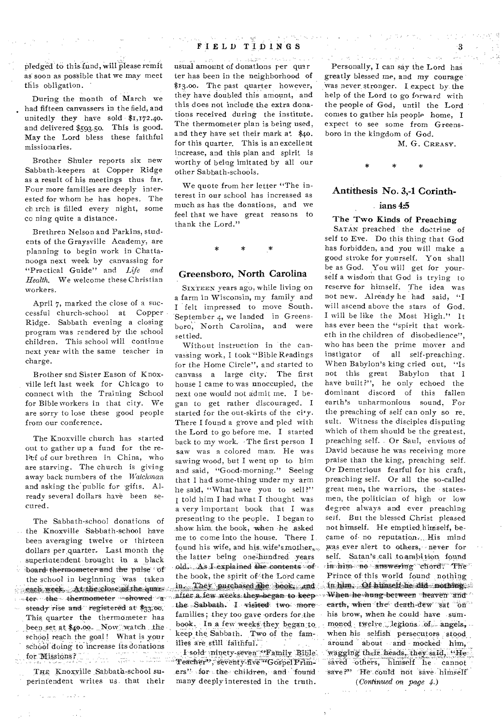pledged to this fund, will please remit as soon as possible that we may meet this obligation.

During the month of March we had fifteen canvassers in the field, and unitedly they have sold \$1,172.40. and delivered \$593.50. This is good. May the Lord bless these faithful missionaries.

Brother Shuler reports six new Sabbath-keepers at Copper Ridge as a result of his meetings thus far. Four more families are deeply interested for whom he has hopes, The ch irch is filled every night, some co ning quite a distance.

Brethren Nelson and Parkins, students of the Graysville Academy, are planning to begin work in Chattanooga next week by canvassing for "Practical Guide" and *Life and Health.* We welcome these Christian workers.

April 7, marked the close of a successful church-school at Copper Ridge. Sabbath evening a closing program was rendered by the school children. This school will continue next year with the same teacher in charge.

Brother snd Sister Eason of Knoxville left last week for Chicago to connect with the Training School for Bible workers in that city. We are sorry to lose these good people from our conference.

The Knoxville church has started out to gather up a fund for the relief of our brethren in China, who are starving. The church is giving away back numbers of the *Watchman*  and asking the public for gifts. Already several dollars have been secured.

the Knoxville Sabbath-school have show him, the book, when he asked dollars per quarter. Last month the superintendent brought in a black  $\frac{1}{2}$ ; board thermometer and the pulse of  $\frac{1}{2}$ .  $\frac{1}{2}$  of  $\frac{1}{2}$ .  $\frac{1}{2}$  is  $\frac{1}{2}$  is  $\frac{1}{2}$  is  $\frac{1}{2}$  is  $\frac{1}{2}$  is  $\frac{1}{2}$  is  $\frac{1}{2}$  is  $\frac{1}{2}$  is  $\frac{1}{2}$  is  $\frac{1}{2}$  is  $\frac{1}{2}$  4 **4** eek. At the close of the quark.<br>4 deed on the book, and the showed a been set at \$40.00. Now watch the school doing to increase its donations lifes are still faithful.<br>Fighter of Missions?

perintendent writes us. that their many deeply interested in the truth.

 $\sim 1.7$   $\sim$   $-1$ 

 $\mathcal{E}_{\rm{in}} = \mathcal{E}_{\rm{in}}$  and

# FIELD TIDINGS

searcher of a special usual amount of donations per quar ter has been in the neighborhood of \$13.00. The past quarter however, they have doubled this amount, and this does not include the extra donations received during the institute. The thermometer plan is being used, and they have set their mark at \$40. for this quarter. This is an excellent increase, and this plan and spirit is worthy of being imitated by all our other Sabbath-schools.

We quote from her letter "The interest-in our school has increased as much as has the donations, and we feel that we have great reasons to thank the Lord."

#### Greensboro, North Carolina

SIXTEEN years ago, while living on a farm in Wisconsin, my family and I felt impressed to move South. September 4, we landed in Greensboro, North Carolina, and were settled.

Without instruction in the canvassing work, I took "Bible Readings for the Home Circle", and started to canvass a large city. The first house I came to was unoccupied, the next one would not admit me. I began to get rather discouraged. I started for the out-skirts of the city. There I found a grove and pled with the Lord to go before me. I started back to my work. The first person I saw was a colored man. He was sawing wood, but I went up to him and said, "Good-morning." Seeing that I had some-thing under my arm he said, "What have you to sell?" I told him I had what I thought was a very important book that I was The Sabbath-school donations of presenting to the people. I began to me to come into the house. There I<br>been averaging twelve or thirteen me to come into the house. There I<br>dellars not energies I as imports the found his wife, and his wife's mother. the latter being one-hundred years the school in beginning was taken the book, the spirit of the Lord came  $\frac{1}{\sqrt{2\pi}}$  the spirit of the book, and *the Sabbath. I visited two more earth, when the death-dew sat on*<br>families; they too gave orders for the his brow, when he could have sumbeen set at \$40.00. Now watch the hook, In a few weeks they began to school reach the goal! What is your keep the Sabbath. Two of the fam-.<br>illes are still faithful.

Teacher", seventy-five "Gospel Prim-THE Knoxville Sabbath-school su- ers" for the children, and found

Personally, I can say the Lord has greatly blessed me, and my courage Was never. stronger. I expect by the help of the Lord to go forward with the people of God, until the Lord conies to gather his people home, I expect to see some from Greensboro in the kingdom of God.

Conservation of the March 1991

M. G. CREASY.

 $\ast$ 

Å

## Antithesis No. 3,-1 Corinth-

\*

#### ians 4:5

#### The Two Kinds of Preaching

SATAN preached the doctrine of self to Eve. Do this thing that God has forbidden, and you will make a good stroke for yourself. You shall be as God. You will get for yourself a wisdom that God is trying to reserve for himself. The idea was not new. Already he had said, "I will ascend above the stars of God. I will be like the Most High." It has ever been the "spirit that worketh in the children of disobedience", who has been the prime mover and instigator of all self•preaching. When Babylon's king cried out, "Is not this great Babylon that I have built?", he only echoed the dominant discord of this fallen earth's unharmonious sound. For the preaching of self can only so re\_ sult. Witness the disciples disputing which of them should be the greatest, preaching self. Or Saul, envious of David because he was receiving more praise than the king, preaching self. Or Demetrious fearful for his craft, preaching self. Or all the so-called great men, the warriors, the statesmen, the politician of high or low degree always and ever preaching self. But the blessed Christ pleased not himself. He emptied himself, became of no reputation. His mind was ever alert to others, never for self. Satan's call to ambition found in him no answering chord. The Prince of this world found nothing in him. Of himself he did nothing.<br>When he hung between "heaven" and when his selfish persecutors stood around about and mocked him, earth, when the death dew sat of<br>his brow, when he could have sum<br>moned twelve legions of angels<br>when his selfish persecutors stood<br>around about and mocked him<br>wagging their heads, they said, "His<br>saved others, himself he wagging their heads, they said, "He<br>saved others, himself he cannot save?" 'He could not save himself ter the thermometer showed a after a few weeks they began to keep . When he hung between heaven and steady rise and registered at \$33.00. This quarter the thermometer has families; they too gave orders for, the his brow, when he could have sum-<br>This quarter the thermometer has book. In a few weeks they began to moned twelve legions of angels.

*(Continued on page 4.)*